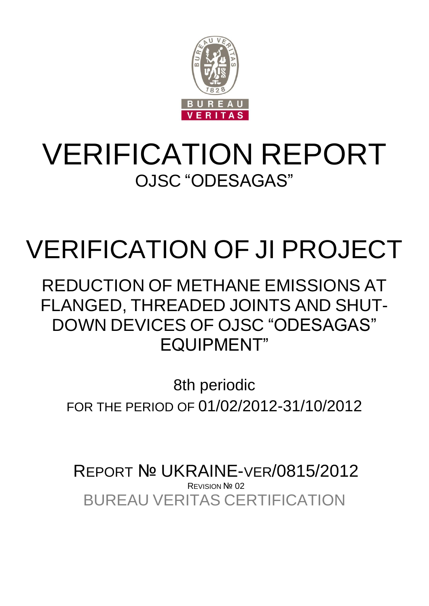

## VERIFICATION REPORT OJSC "ODESAGAS"

# VERIFICATION OF JI PROJECT

REDUCTION OF METHANE EMISSIONS AT FLANGED, THREADED JOINTS AND SHUT-DOWN DEVICES OF OJSC "ODESAGAS" EQUIPMENT"

8th periodic FOR THE PERIOD OF 01/02/2012-31/10/2012

BUREAU VERITAS CERTIFICATION REPORT № UKRAINE-VER/0815/2012 **REVISION Nº 02**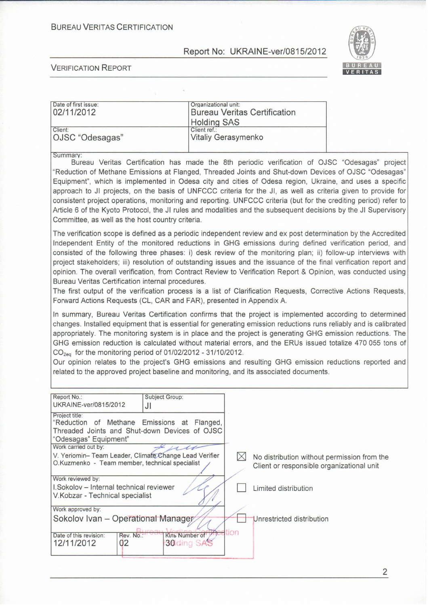#### **BUREAU VERITAS CERTIFICATION**

#### Report No: UKRAINE-ver/0815/2012



#### **VERIFICATION REPORT**

| Date of first issue: | Organizational unit:                |  |
|----------------------|-------------------------------------|--|
| 02/11/2012           | <b>Bureau Veritas Certification</b> |  |
|                      | <b>Holding SAS</b>                  |  |
| Client:              | Client ref.:                        |  |
| OJSC "Odesagas"      | Vitaliy Gerasymenko                 |  |

Summary:

Bureau Veritas Certification has made the 8th periodic verification of OJSC "Odesagas" project "Reduction of Methane Emissions at Flanged. Threaded Joints and Shut-down Devices of OJSC "Odesagas" Equipment", which is implemented in Odesa city and cities of Odesa region, Ukraine, and uses a specific approach to JI projects, on the basis of UNFCCC criteria for the JI, as well as criteria given to provide for consistent project operations, monitoring and reporting. UNFCCC criteria (but for the crediting period) refer to Article 6 of the Kyoto Protocol, the JI rules and modalities and the subsequent decisions by the JI Supervisory Committee, as well as the host country criteria.

The verification scope is defined as a periodic independent review and ex post determination by the Accredited Independent Entity of the monitored reductions in GHG emissions during defined verification period, and consisted of the following three phases: i) desk review of the monitoring plan; ii) follow-up interviews with project stakeholders; iii) resolution of outstanding issues and the issuance of the final verification report and opinion. The overall verification, from Contract Review to Verification Report & Opinion, was conducted using Bureau Veritas Certification internal procedures.

The first output of the verification process is a list of Clarification Requests, Corrective Actions Requests, Forward Actions Requests (CL, CAR and FAR), presented in Appendix A.

In summary, Bureau Veritas Certification confirms that the project is implemented according to determined changes. Installed equipment that is essential for generating emission reductions runs reliably and is calibrated appropriately. The monitoring system is in place and the project is generating GHG emission reductions. The GHG emission reduction is calculated without material errors, and the ERUs issued totalize 470 055 tons of  $CO<sub>2eq</sub>$  for the monitoring period of 01/02/2012 - 31/10/2012.

Our opinion relates to the project's GHG emissions and resulting GHG emission reductions reported and related to the approved project baseline and monitoring, and its associated documents.

| Report No.:<br>UKRAINE-ver/0815/2012                                                                                                    | <b>Subject Group:</b><br>JI     |      |                                             |
|-----------------------------------------------------------------------------------------------------------------------------------------|---------------------------------|------|---------------------------------------------|
| Project title:<br>"Reduction of Methane Emissions at Flanged,<br>Threaded Joints and Shut-down Devices of OJSC<br>"Odesagas" Equipment" |                                 |      |                                             |
| Work carried out by:                                                                                                                    |                                 |      |                                             |
| V. Yeriomin-Team Leader, Climate Change Lead Verifier                                                                                   |                                 |      | No distribution without permission from the |
| O.Kuzmenko - Team member, technical specialist                                                                                          |                                 |      | Client or responsible organizational unit   |
|                                                                                                                                         |                                 |      |                                             |
| Work reviewed by:                                                                                                                       |                                 |      |                                             |
| I.Sokolov - Internal technical reviewer                                                                                                 |                                 |      | Limited distribution                        |
| V.Kobzar - Technical specialist                                                                                                         |                                 |      |                                             |
| Work approved by:                                                                                                                       |                                 |      |                                             |
| Sokolov Ivan - Operational Manager                                                                                                      |                                 |      | Unrestricted distribution                   |
|                                                                                                                                         |                                 | tion |                                             |
| Date of this revision:<br>Rev. No.:<br>12/11/2012<br>02                                                                                 | Кіль Number of /<br>30 ding SAS |      |                                             |
|                                                                                                                                         |                                 |      |                                             |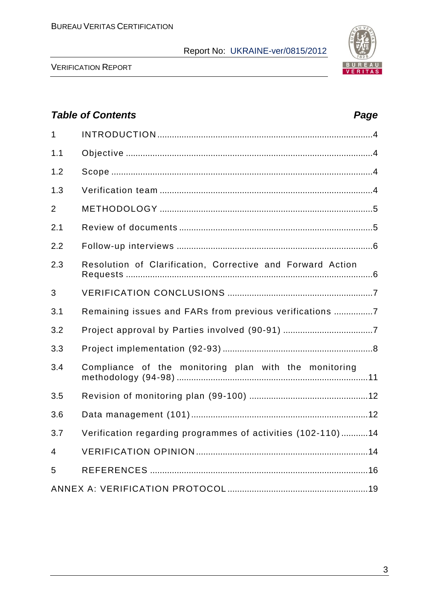

VERIFICATION REPORT

## *Table of Contents Page* 1 INTRODUCTION .........................................................................................4 1.1 Objective ......................................................................................................4 1.2 Scope ............................................................................................................4 1.3 Verification team ........................................................................................4 2 METHODOLOGY ........................................................................................5 2.1 Review of documents ................................................................................5 2.2 Follow-up interviews .................................................................................6 2.3 Resolution of Сlarification, Сorrective and Forward Action Requests ......................................................................................................6 3 VERIFICATION CONCLUSIONS ............................................................7 3.1 Remaining issues and FARs from previous verifications ................7 3.2 Project approval by Parties involved (90-91) .....................................7 3.3 Project implementation (92-93) ..............................................................8 3.4 Compliance of the monitoring plan with the monitoring methodology (94-98) ...............................................................................11 3.5 Revision of monitoring plan (99-100) .................................................12 3.6 Data management (101).........................................................................12 3.7 Verification regarding programmes of activities (102-110) ...........14 4 VERIFICATION OPINION .......................................................................14 5 REFERENCES ..........................................................................................16 ANNEX A: VERIFICATION PROTOCOL ..........................................................19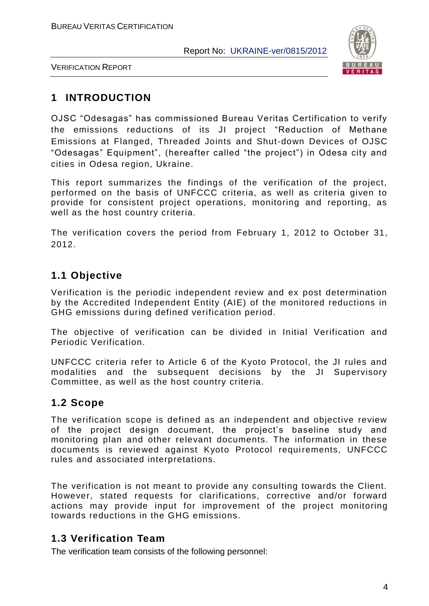

VERIFICATION REPORT

## **1 INTRODUCTION**

OJSC "Odesagas" has commissioned Bureau Veritas Certification to verify the emissions reductions of its JI project "Reduction of Methane Emissions at Flanged, Threaded Joints and Shut-down Devices of OJSC "Odesagas" Equipment", (hereafter called "the project") in Odesa city and cities in Odesa region, Ukraine.

This report summarizes the findings of the verification of the project, performed on the basis of UNFCCC criteria, as well as criteria given to provide for consistent project operations, monitoring and reporting, as well as the host country criteria.

The verification covers the period from February 1, 2012 to October 31, 2012.

## **1.1 Objective**

Verification is the periodic independent review and ex post determination by the Accredited Independent Entity (AIE) of the monitored reductions in GHG emissions during defined verification period.

The objective of verification can be divided in Initial Verification and Periodic Verification.

UNFCCC criteria refer to Article 6 of the Kyoto Protocol, the JI rules and modalities and the subsequent decisions by the JI Supervisory Committee, as well as the host country criteria.

## **1.2 Scope**

The verification scope is defined as an independent and objective review of the project design document, the project"s baseline study and monitoring plan and other relevant documents. The information in these documents is reviewed against Kyoto Protocol requirements, UNFCCC rules and associated interpretations.

The verification is not meant to provide any consulting towards the Client. However, stated requests for clarifications, corrective and/or forward actions may provide input for improvement of the project monitoring towards reductions in the GHG emissions.

## **1.3 Verification Team**

The verification team consists of the following personnel: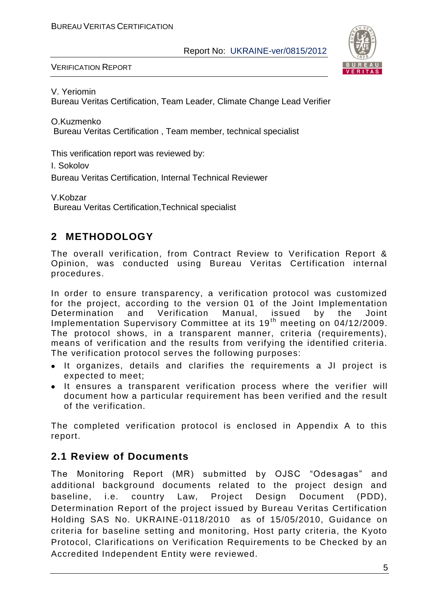

VERIFICATION REPORT

V. Yeriomin

Bureau Veritas Certification, Team Leader, Climate Change Lead Verifier

O.Kuzmenko Bureau Veritas Certification , Team member, technical specialist

This verification report was reviewed by:

I. Sokolov

Bureau Veritas Certification, Internal Technical Reviewer

V.Kobzar Bureau Veritas Certification,Technical specialist

## **2 METHODOLOGY**

The overall verification, from Contract Review to Verification Report & Opinion, was conducted using Bureau Veritas Certification internal procedures.

In order to ensure transparency, a verification protocol was customized for the project, according to the version 01 of the Joint Implementation Determination and Verification Manual, issued by the Joint Implementation Supervisory Committee at its 19<sup>th</sup> meeting on 04/12/2009. The protocol shows, in a transparent manner, criteria (requirements), means of verification and the results from verifying the identified criteria. The verification protocol serves the following purposes:

- It organizes, details and clarifies the requirements a JI project is expected to meet;
- It ensures a transparent verification process where the verifier will document how a particular requirement has been verified and the result of the verification.

The completed verification protocol is enclosed in Appendix A to this report.

## **2.1 Review of Documents**

The Monitoring Report (MR) submitted by OJSC "Odesagas" and additional background documents related to the project design and baseline, i.e. country Law, Project Design Document (PDD), Determination Report of the project issued by Bureau Veritas Certification Holding SAS No. UKRAINE-0118/2010 as of 15/05/2010, Guidance on criteria for baseline setting and monitoring, Host party criteria, the Kyoto Protocol, Clarifications on Verification Requirements to be Checked by an Accredited Independent Entity were reviewed.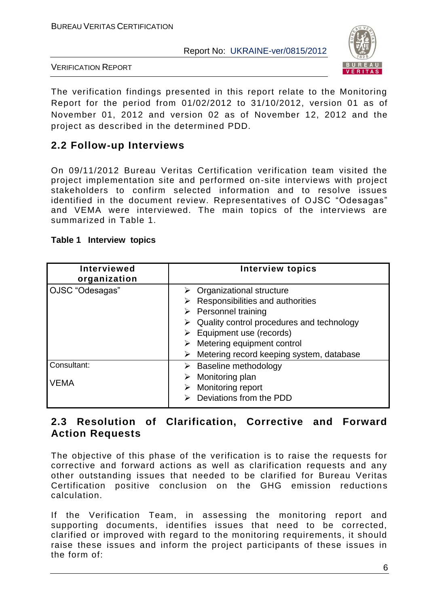

VERIFICATION REPORT

The verification findings presented in this report relate to the Monitoring Report for the period from 01/02/2012 to 31/10/2012, version 01 as of November 01, 2012 and version 02 as of November 12, 2012 and the project as described in the determined PDD.

## **2.2 Follow-up Interviews**

On 09/11/2012 Bureau Veritas Certification verification team visited the project implementation site and performed on-site interviews with project stakeholders to confirm selected information and to resolve issues identified in the document review. Representatives of OJSC "Odesagas" and VEMA were interviewed. The main topics of the interviews are summarized in Table 1.

| <b>Interviewed</b><br>organization | Interview topics                          |
|------------------------------------|-------------------------------------------|
| OJSC "Odesagas"                    | $\triangleright$ Organizational structure |
|                                    | Responsibilities and authorities          |
|                                    | $\triangleright$ Personnel training       |
|                                    | Quality control procedures and technology |
|                                    | Equipment use (records)                   |
|                                    | Metering equipment control                |
|                                    | Metering record keeping system, database  |
| Consultant:                        | $\triangleright$ Baseline methodology     |
|                                    | Monitoring plan                           |
| VEMA                               | <b>Monitoring report</b>                  |
|                                    | Deviations from the PDD                   |

#### **Table 1 Interview topics**

#### **2.3 Resolution of Clarification, Corrective and Forward Action Requests**

The objective of this phase of the verification is to raise the requests for corrective and forward actions as well as clarification requests and any other outstanding issues that needed to be clarified for Bureau Veritas Certification positive conclusion on the GHG emission reductions calculation.

If the Verification Team, in assessing the monitoring report and supporting documents, identifies issues that need to be corrected, clarified or improved with regard to the monitoring requirements, it should raise these issues and inform the project participants of these issues in the form of: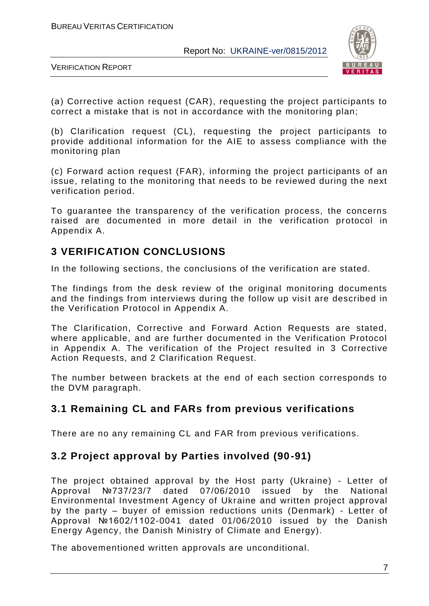

VERIFICATION REPORT

(а) Corrective action request (CAR), requesting the project participants to correct a mistake that is not in accordance with the monitoring plan;

(b) Clarification request (CL), requesting the project participants to provide additional information for the AIE to assess compliance with the monitoring plan

(c) Forward action request (FAR), informing the project participants of an issue, relating to the monitoring that needs to be reviewed during the next verification period.

To guarantee the transparency of the verification process, the concerns raised are documented in more detail in the verification protocol in Appendix A.

### **3 VERIFICATION CONCLUSIONS**

In the following sections, the conclusions of the verification are stated.

The findings from the desk review of the original monitoring documents and the findings from interviews during the follow up visit are described in the Verification Protocol in Appendix A.

The Clarification, Corrective and Forward Action Requests are stated, where applicable, and are further documented in the Verification Protocol in Appendix A. The verification of the Project resulted in 3 Corrective Action Requests, and 2 Clarification Request.

The number between brackets at the end of each section corresponds to the DVM paragraph.

#### **3.1 Remaining CL and FARs from previous verifications**

There are no any remaining CL and FAR from previous verifications.

## **3.2 Project approval by Parties involved (90-91)**

The project obtained approval by the Host party (Ukraine) - Letter of Approval №737/23/7 dated 07/06/2010 issued by the National Environmental Investment Agency of Ukraine and written project approval by the party – buyer of emission reductions units (Denmark) - Letter of Approval №1602/1102-0041 dated 01/06/2010 issued by the Danish Energy Agency, the Danish Ministry of Climate and Energy).

The abovementioned written approvals are unconditional.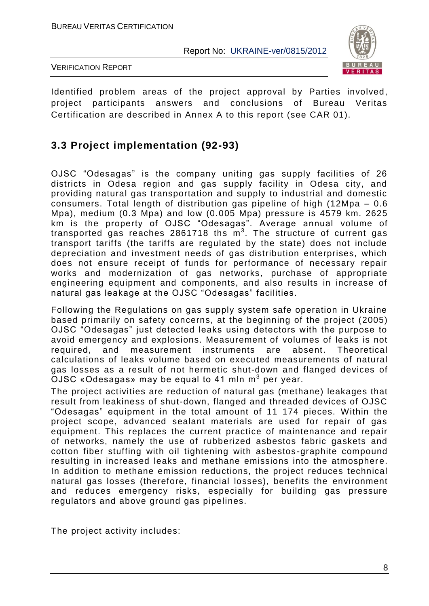

VERIFICATION REPORT

Identified problem areas of the project approval by Parties involved, project participants answers and conclusions of Bureau Veritas Certification are described in Annex A to this report (see CAR 01).

## **3.3 Project implementation (92-93)**

OJSC "Odesagas" is the company uniting gas supply facilities of 26 districts in Odesa region and gas supply facility in Odesa city, and providing natural gas transportation and supply to industrial and domestic consumers. Total length of distribution gas pipeline of high (12Mpa – 0.6 Mpa), medium (0.3 Mpa) and low (0.005 Mpa) pressure is 4579 km. 2625 km is the property of OJSC "Odesagas". Average annual volume of transported gas reaches 2861718 ths  $m^3$ . The structure of current gas transport tariffs (the tariffs are regulated by the state) does not include depreciation and investment needs of gas distribution enterprises, which does not ensure receipt of funds for performance of necessary repair works and modernization of gas networks, purchase of appropriate engineering equipment and components, and also results in increase of natural gas leakage at the OJSC "Odesagas" facilities.

Following the Regulations on gas supply system safe operation in Ukraine based primarily on safety concerns, at the beginning of the project (2005) OJSC "Odesagas" just detected leaks using detectors with the purpose to avoid emergency and explosions. Measurement of volumes of leaks is not required, and measurement instruments are absent. Theoretical calculations of leaks volume based on executed measurements of natural gas losses as a result of not hermetic shut-down and flanged devices of  $\mathsf{OJSC}$  «Odesagas» may be equal to 41 mln m $^3$  per year.

The project activities are reduction of natural gas (methane) leakages that result from leakiness of shut-down, flanged and threaded devices of OJSC "Odesagas" equipment in the total amount of 11 174 pieces. Within the project scope, advanced sealant materials are used for repair of gas equipment. This replaces the current practice of maintenance and repair of networks, namely the use of rubberized asbestos fabric gaskets and cotton fiber stuffing with oil tightening with asbestos -graphite compound resulting in increased leaks and methane emissions into the atmosphere. In addition to methane emission reductions, the project reduces technical natural gas losses (therefore, financial losses), benefits the environment and reduces emergency risks, especially for building gas pressure regulators and above ground gas pipelines.

The project activity includes: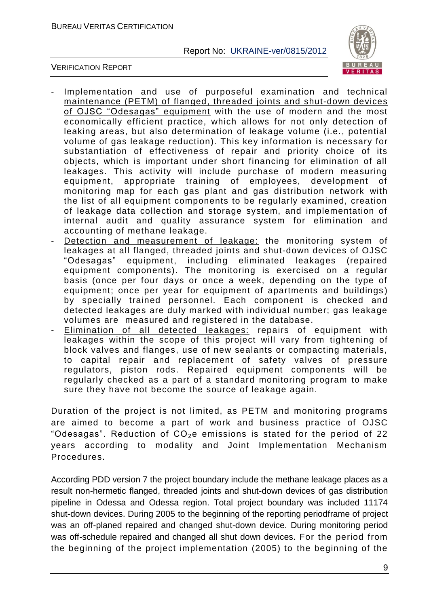

VERIFICATION REPORT

- Implementation and use of purposeful examination and technical maintenance (PETM) of flanged, threaded joints and shut-down devices of OJSC "Odesagas" equipment with the use of modern and the most economically efficient practice, which allows for not only detection of leaking areas, but also determination of leakage volume (i.e., potential volume of gas leakage reduction). This key information is necessary for substantiation of effectiveness of repair and priority choice of its objects, which is important under short financing for elimination of all leakages. This activity will include purchase of modern measuring equipment, appropriate training of employees, development of monitoring map for each gas plant and gas distribution network with the list of all equipment components to be regularly examined, creation of leakage data collection and storage system, and implementation of internal audit and quality assurance system for elimination and accounting of methane leakage.
- Detection and measurement of leakage: the monitoring system of leakages at all flanged, threaded joints and shut-down devices of OJSC "Odesagas" equipment, including eliminated leakages (repaired equipment components). The monitoring is exercised on a regular basis (once per four days or once a week, depending on the type of equipment; once per year for equipment of apartments and buildings ) by specially trained personnel. Each component is checked and detected leakages are duly marked with individual number; gas leakage volumes are measured and registered in the database.
- Elimination of all detected leakages: repairs of equipment with leakages within the scope of this project will vary from tightening of block valves and flanges, use of new sealants or compacting materials, to capital repair and replacement of safety valves of pressure regulators, piston rods. Repaired equipment components will be regularly checked as a part of a standard monitoring program to make sure they have not become the source of leakage again.

Duration of the project is not limited, as PETM and monitoring programs are aimed to become a part of work and business practice of OJSC "Odesagas". Reduction of  $CO<sub>2</sub>e$  emissions is stated for the period of 22 years according to modality and Joint Implementation Mechanism Procedures.

According PDD version 7 the project boundary include the methane leakage places as a result non-hermetic flanged, threaded joints and shut-down devices of gas distribution pipeline in Odessa and Odessa region. Total project boundary was included 11174 shut-down devices. During 2005 to the beginning of the reporting periodframe of project was an off-planed repaired and changed shut-down device. During monitoring period was off-schedule repaired and changed all shut down devices. For the period from the beginning of the project implementation (2005) to the beginning of the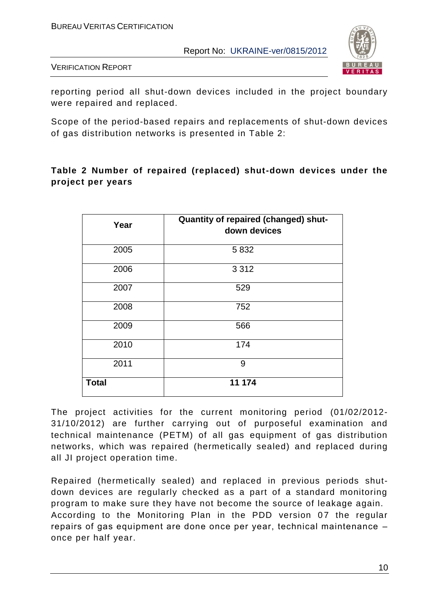

VERIFICATION REPORT

reporting period all shut-down devices included in the project boundary were repaired and replaced.

Scope of the period-based repairs and replacements of shut-down devices of gas distribution networks is presented in Table 2:

#### **Table 2 Number of repaired (replaced) shut-down devices under the project per years**

| Year         | Quantity of repaired (changed) shut-<br>down devices |
|--------------|------------------------------------------------------|
| 2005         | 5832                                                 |
| 2006         | 3 3 1 2                                              |
| 2007         | 529                                                  |
| 2008         | 752                                                  |
| 2009         | 566                                                  |
| 2010         | 174                                                  |
| 2011         | 9                                                    |
| <b>Total</b> | 11 174                                               |

The project activities for the current monitoring period (01/02/2012- 31/10/2012) are further carrying out of purposeful examination and technical maintenance (PETM) of all gas equipment of gas distribution networks, which was repaired (hermetically sealed) and replaced during all JI project operation time.

Repaired (hermetically sealed) and replaced in previous periods shutdown devices are regularly checked as a part of a standard monitoring program to make sure they have not become the source of leakage again. According to the Monitoring Plan in the PDD version 07 the regular repairs оf gas equipment are done once per year, technical maintenance – once per half year.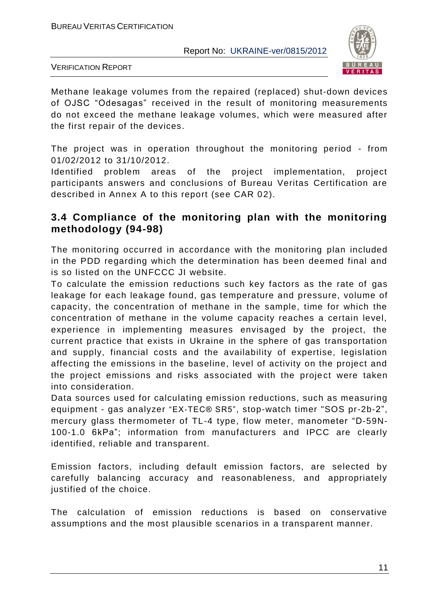

VERIFICATION REPORT

Methane leakage volumes from the repaired (replaced) shut-down devices of OJSC "Odesagas" received in the result of monitoring measurements do not exceed the methane leakage volumes, which were measured after the first repair of the devices.

The project was in operation throughout the monitoring period - from 01/02/2012 to 31/10/2012.

Identified problem areas of the project implementation, project participants answers and conclusions of Bureau Veritas Certification are described in Annex A to this report (see CAR 02).

## **3.4 Compliance of the monitoring plan with the monitoring methodology (94-98)**

The monitoring occurred in accordance with the monitoring plan included in the PDD regarding which the determination has been deemed final and is so listed on the UNFCCC JI website.

To calculate the emission reductions such key factors as the rate of gas leakage for each leakage found, gas temperature and pressure, volume of capacity, the concentration of methane in the sample, time for which the concentration of methane in the volume capacity reaches a certain level, experience in implementing measures envisaged by the project, the current practice that exists in Ukraine in the sphere of gas transportation and supply, financial costs and the availability of expertise, legislation affecting the emissions in the baseline, level of activity on the project and the project emissions and risks associated with the project were taken into consideration.

Data sources used for calculating emission reductions, such as measuring equipment - gas analyzer "EX-TEC® SR5", stop-watch timer "SOS pr-2b-2", mercury glass thermometer of TL-4 type, flow meter, manometer "D-59N-100-1.0 6kPа"; information from manufacturers and IPCC are clearly identified, reliable and transparent.

Emission factors, including default emission factors, are selected by carefully balancing accuracy and reasonableness, and appropriately justified of the choice.

The calculation of emission reductions is based on conservative assumptions and the most plausible scenarios in a transparent manner.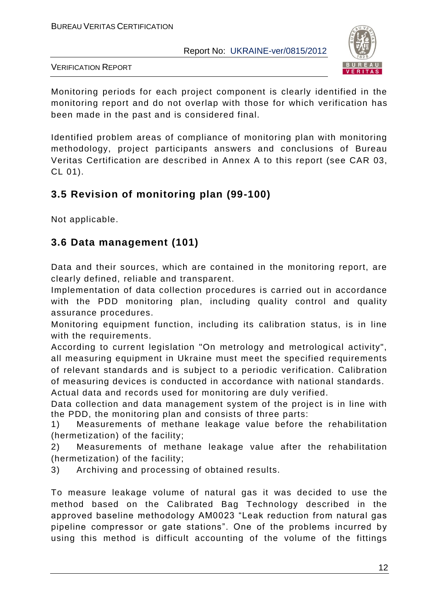

VERIFICATION REPORT

Monitoring periods for each project component is clearly identified in the monitoring report and do not overlap with those for which verification has been made in the past and is considered final.

Identified problem areas of compliance of monitoring plan with monitoring methodology, project participants answers and conclusions of Bureau Veritas Certification are described in Annex A to this report (see CAR 03, CL 01).

## **3.5 Revision of monitoring plan (99-100)**

Not applicable.

## **3.6 Data management (101)**

Data and their sources, which are contained in the monitoring report, are clearly defined, reliable and transparent.

Implementation of data collection procedures is carried out in accordance with the PDD monitoring plan, including quality control and quality assurance procedures.

Monitoring equipment function, including its calibration status, is in line with the requirements.

According to current legislation "On metrology and metrological activity", all measuring equipment in Ukraine must meet the specified requirements of relevant standards and is subject to a periodic verification. Calibration of measuring devices is conducted in accordance with national standards.

Actual data and records used for monitoring are duly verified.

Data collection and data management system of the project is in line with the PDD, the monitoring plan and consists of three parts:

1) Measurements of methane leakage value before the rehabilitation (hermetization) of the facility;

2) Measurements of methane leakage value after the rehabilitation (hermetization) of the facility;

3) Archiving and processing of obtained results.

To measure leakage volume of natural gas it was decided to use the method based on the Calibrated Bag Technology described in the approved baseline methodology AM0023 "Leak reduction from natural gas pipeline compressor or gate stations". One of the problems incurred by using this method is difficult accounting of the volume of the fittings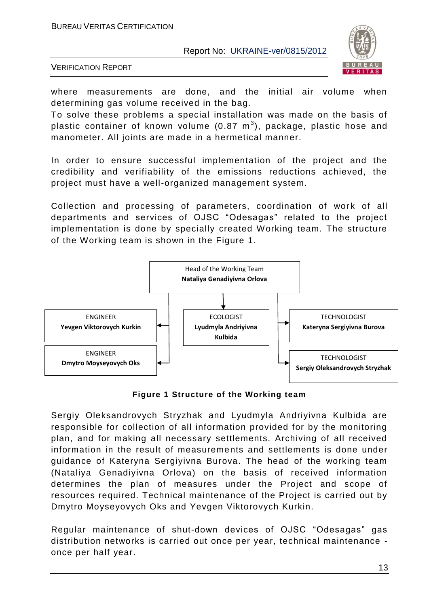

VERIFICATION REPORT

where measurements are done, and the initial air volume when determining gas volume received in the bag.

To solve these problems a special installation was made on the basis of plastic container of known volume (0.87  $\textsf{m}^{3}$ ), package, plastic hose and manometer. All joints are made in a hermetical manner.

In order to ensure successful implementation of the project and the credibility and verifiability of the emissions reductions achieved, the project must have a well-organized management system.

Collection and processing of parameters, coordination of work of all departments and services of OJSC "Odesagas" related to the project implementation is done by specially created Working team. The structure of the Working team is shown in the Figure 1.



**Figure 1 Structure of the Working team**

Sergiy Oleksandrovych Stryzhak and Lyudmyla Andriyivna Kulbida are responsible for collection of all information provided for by the monitoring plan, and for making all necessary settlements. Archiving of all received information in the result of measurements and settlements is done under guidance of Kateryna Sergiyivna Burova. The head of the working team (Nataliya Genadiyivna Orlova) on the basis of received information determines the plan of measures under the Project and scope of resources required. Technical maintenance of the Project is carried out by Dmytro Moyseyovych Oks and Yevgen Viktorovych Kurkin.

Regular maintenance of shut-down devices of OJSC "Odesagas" gas distribution networks is carried out once per year, technical maintenance once per half year.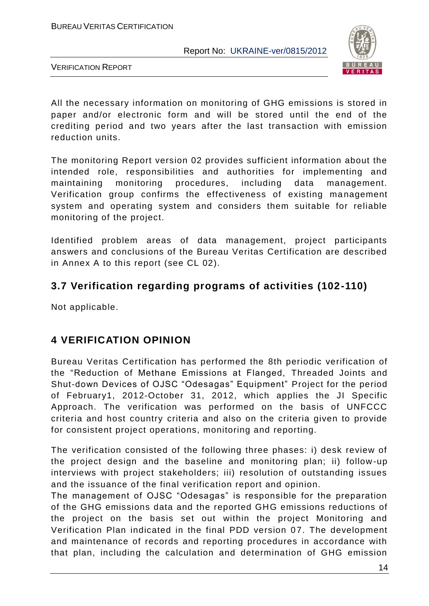

VERIFICATION REPORT

All the necessary information on monitoring of GHG emissions is stored in paper and/or electronic form and will be stored until the end of the crediting period and two years after the last transaction with emission reduction units.

The monitoring Report version 02 provides sufficient information about the intended role, responsibilities and authorities for implementing and maintaining monitoring procedures, including data management. Verification group confirms the effectiveness of existing management system and operating system and considers them suitable for reliable monitoring of the project.

Identified problem areas of data management, project participants answers and conclusions of the Bureau Veritas Certification are described in Annex A to this report (see CL 02).

### **3.7 Verification regarding programs of activities (102-110)**

Not applicable.

## **4 VERIFICATION OPINION**

Bureau Veritas Certification has performed the 8th periodic verification of the "Reduction of Methane Emissions at Flanged, Threaded Joints and Shut-down Devices of OJSC "Odesagas" Equipment" Project for the period of February1, 2012-October 31, 2012, which applies the JI Specific Approach. The verification was performed on the basis of UNFCCC criteria and host country criteria and also on the criteria given to provide for consistent project operations, monitoring and reporting.

The verification consisted of the following three phases: i) desk review of the project design and the baseline and monitoring plan; ii) follow -up interviews with project stakeholders; iii) resolution of outstanding issues and the issuance of the final verification report and opinion.

The management of OJSC "Odesagas" is responsible for the preparation of the GHG emissions data and the reported GHG emissions reductions of the project on the basis set out within the project Monitoring and Verification Plan indicated in the final PDD version 07. The development and maintenance of records and reporting procedures in accordance with that plan, including the calculation and determination of GHG emission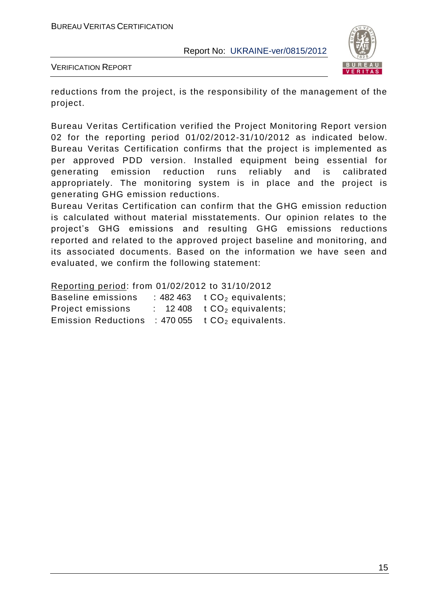

VERIFICATION REPORT

reductions from the project, is the responsibility of the management of the project.

Bureau Veritas Certification verified the Project Monitoring Report version 02 for the reporting period 01/02/2012-31/10/2012 as indicated below. Bureau Veritas Certification confirms that the project is implemented as per approved PDD version. Installed equipment being essential for generating emission reduction runs reliably and is calibrated appropriately. The monitoring system is in place and the project is generating GHG emission reductions.

Bureau Veritas Certification can confirm that the GHG emission reduction is calculated without material misstatements. Our opinion relates to the project"s GHG emissions and resulting GHG emissions reductions reported and related to the approved project baseline and monitoring, and its associated documents. Based on the information we have seen and evaluated, we confirm the following statement:

Reporting period: from 01/02/2012 to 31/10/2012

| <b>Baseline emissions</b>  | : 482 463 $\pm$ CO <sub>2</sub> equivalents;      |
|----------------------------|---------------------------------------------------|
| <b>Project emissions</b>   | $\therefore$ 12408 t CO <sub>2</sub> equivalents; |
| <b>Emission Reductions</b> | : 470 055 $tCO2$ equivalents.                     |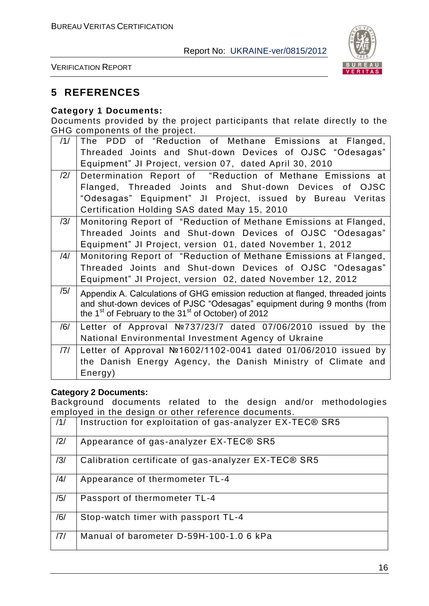

VERIFICATION REPORT

#### **5 REFERENCES**

#### **Category 1 Documents:**

Documents provided by the project participants that relate directly to the GHG components of the project.

| /1/            | The PDD of "Reduction of Methane Emissions at Flanged,                         |
|----------------|--------------------------------------------------------------------------------|
|                | Threaded Joints and Shut-down Devices of OJSC "Odesagas"                       |
|                | Equipment" JI Project, version 07, dated April 30, 2010                        |
| $\frac{12}{1}$ | Determination Report of "Reduction of Methane Emissions at                     |
|                | Flanged, Threaded Joints and Shut-down Devices of OJSC                         |
|                | "Odesagas" Equipment" JI Project, issued by Bureau Veritas                     |
|                | Certification Holding SAS dated May 15, 2010                                   |
| /3/            | Monitoring Report of "Reduction of Methane Emissions at Flanged,               |
|                | Threaded Joints and Shut-down Devices of OJSC "Odesagas"                       |
|                | Equipment" JI Project, version 01, dated November 1, 2012                      |
| /4/            | Monitoring Report of "Reduction of Methane Emissions at Flanged,               |
|                | Threaded Joints and Shut-down Devices of OJSC "Odesagas"                       |
|                | Equipment" JI Project, version 02, dated November 12, 2012                     |
| /5/            | Appendix A. Calculations of GHG emission reduction at flanged, threaded joints |
|                | and shut-down devices of PJSC "Odesagas" equipment during 9 months (from       |
|                | the 1 <sup>st</sup> of February to the 31 <sup>st</sup> of October) of 2012    |
| /6/            | Letter of Approval $N237/23/7$ dated 07/06/2010 issued by the                  |
|                | National Environmental Investment Agency of Ukraine                            |
| /7/            | Letter of Approval №1602/1102-0041 dated 01/06/2010 issued by                  |
|                | the Danish Energy Agency, the Danish Ministry of Climate and                   |
|                | Energy)                                                                        |

#### **Category 2 Documents:**

Background documents related to the design and/or methodologies employed in the design or other reference documents.

| /1/ | Instruction for exploitation of gas-analyzer EX-TEC® SR5 |
|-----|----------------------------------------------------------|
| /2/ | Appearance of gas-analyzer EX-TEC® SR5                   |
| /3/ | Calibration certificate of gas-analyzer EX-TEC® SR5      |
| /4/ | Appearance of thermometer TL-4                           |
| /5/ | Passport of thermometer TL-4                             |
| /6/ | Stop-watch timer with passport TL-4                      |
| 7   | Manual of barometer D-59H-100-1.0 6 kPa                  |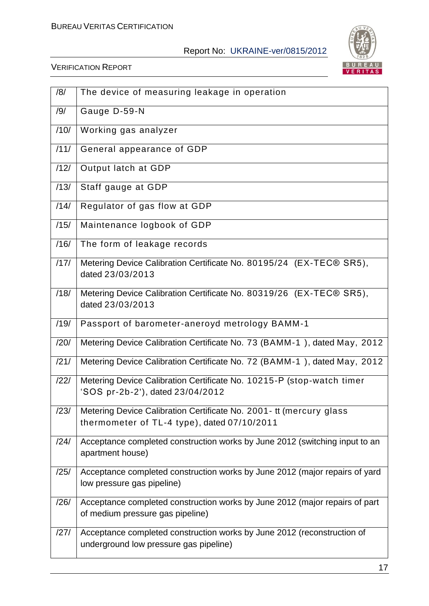

| /8/  | The device of measuring leakage in operation                                                                       |
|------|--------------------------------------------------------------------------------------------------------------------|
| /9/  | Gauge D-59-N                                                                                                       |
| /10/ | Working gas analyzer                                                                                               |
| /11/ | General appearance of GDP                                                                                          |
| /12/ | Output latch at GDP                                                                                                |
| /13/ | Staff gauge at GDP                                                                                                 |
| /14/ | Regulator of gas flow at GDP                                                                                       |
| /15/ | Maintenance logbook of GDP                                                                                         |
| /16/ | The form of leakage records                                                                                        |
| /17/ | Metering Device Calibration Certificate No. 80195/24 (EX-TEC® SR5),<br>dated 23/03/2013                            |
| /18/ | Metering Device Calibration Certificate No. 80319/26 (EX-TEC® SR5),<br>dated 23/03/2013                            |
| /19/ | Passport of barometer-aneroyd metrology BAMM-1                                                                     |
| /20/ | Metering Device Calibration Certificate No. 73 (BAMM-1), dated May, 2012                                           |
| /21/ | Metering Device Calibration Certificate No. 72 (BAMM-1), dated May, 2012                                           |
| /22/ | Metering Device Calibration Certificate No. 10215-P (stop-watch timer<br>'SOS pr-2b-2'), dated 23/04/2012          |
| /23/ | Metering Device Calibration Certificate No. 2001- tt (mercury glass<br>thermometer of TL-4 type), dated 07/10/2011 |
| /24/ | Acceptance completed construction works by June 2012 (switching input to an<br>apartment house)                    |
| /25/ | Acceptance completed construction works by June 2012 (major repairs of yard<br>low pressure gas pipeline)          |
| /26/ | Acceptance completed construction works by June 2012 (major repairs of part<br>of medium pressure gas pipeline)    |
| /27/ | Acceptance completed construction works by June 2012 (reconstruction of<br>underground low pressure gas pipeline)  |
|      |                                                                                                                    |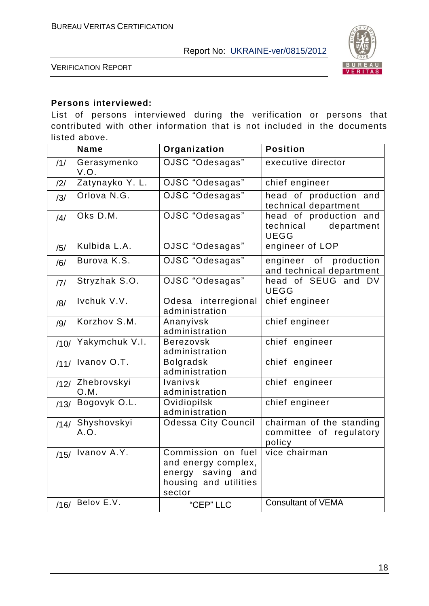

VERIFICATION REPORT

#### **Persons interviewed:**

List of persons interviewed during the verification or persons that contributed with other information that is not included in the documents listed above.

|      | <b>Name</b>               | Organization                                                                                         | <b>Position</b>                                                  |
|------|---------------------------|------------------------------------------------------------------------------------------------------|------------------------------------------------------------------|
| /1/  | Gerasymenko<br>V.O.       | OJSC "Odesagas"                                                                                      | executive director                                               |
| /2/  | Zatynayko Y.L.            | OJSC "Odesagas"                                                                                      | chief engineer                                                   |
| /3/  | Orlova N.G.               | OJSC "Odesagas"                                                                                      | head of production and<br>technical department                   |
| /4/  | Oks D.M.                  | OJSC "Odesagas"                                                                                      | head of production and<br>technical<br>department<br><b>UEGG</b> |
| /5/  | Kulbida L.A.              | OJSC "Odesagas"                                                                                      | engineer of LOP                                                  |
| /6/  | Burova K.S.               | OJSC "Odesagas"                                                                                      | engineer of production<br>and technical department               |
| 7    | Stryzhak S.O.             | OJSC "Odesagas"                                                                                      | head of SEUG and DV<br><b>UEGG</b>                               |
| /8/  | Ivchuk V.V.               | Odesa interregional<br>administration                                                                | chief engineer                                                   |
| /9/  | Korzhov S.M.              | Ananyivsk<br>administration                                                                          | chief engineer                                                   |
| /10/ | Yakymchuk V.I.            | <b>Berezovsk</b><br>administration                                                                   | chief engineer                                                   |
| /11/ | Ivanov $\overline{O.T.}$  | <b>Bolgradsk</b><br>administration                                                                   | chief engineer                                                   |
| /12/ | Zhebrovskyi<br>O.M.       | Ivanivsk<br>administration                                                                           | chief engineer                                                   |
| /13/ | Bogovyk O.L.              | Ovidiopilsk<br>administration                                                                        | chief engineer                                                   |
| /14/ | Shyshovskyi<br>A.O.       | <b>Odessa City Council</b>                                                                           | chairman of the standing<br>committee of regulatory<br>policy    |
| /15/ | Ivanov $A.\overline{Y}$ . | Commission on fuel<br>and energy complex,<br>energy saving<br>and<br>housing and utilities<br>sector | vice chairman                                                    |
| /16/ | Belov E.V.                | "CEP" LLC                                                                                            | <b>Consultant of VEMA</b>                                        |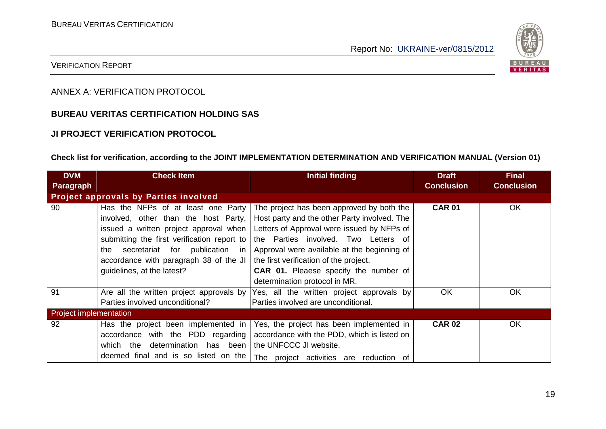

#### VERIFICATION REPORT

ANNEX A: VERIFICATION PROTOCOL

#### **BUREAU VERITAS CERTIFICATION HOLDING SAS**

#### **JI PROJECT VERIFICATION PROTOCOL**

#### **Check list for verification, according to the JOINT IMPLEMENTATION DETERMINATION AND VERIFICATION MANUAL (Version 01)**

| <b>DVM</b>                    | <b>Check Item</b>                                                                                                                                                                                                                                          | <b>Initial finding</b>                                                                                                                                                                                                                                                   | <b>Draft</b>      | <b>Final</b>      |
|-------------------------------|------------------------------------------------------------------------------------------------------------------------------------------------------------------------------------------------------------------------------------------------------------|--------------------------------------------------------------------------------------------------------------------------------------------------------------------------------------------------------------------------------------------------------------------------|-------------------|-------------------|
| Paragraph                     |                                                                                                                                                                                                                                                            |                                                                                                                                                                                                                                                                          | <b>Conclusion</b> | <b>Conclusion</b> |
|                               | Project approvals by Parties involved                                                                                                                                                                                                                      |                                                                                                                                                                                                                                                                          |                   |                   |
| 90                            | Has the NFPs of at least one Party<br>involved, other than the host Party,<br>issued a written project approval when<br>submitting the first verification report to<br>secretariat for publication<br>the<br>in.<br>accordance with paragraph 38 of the JI | The project has been approved by both the<br>Host party and the other Party involved. The<br>Letters of Approval were issued by NFPs of<br>the Parties involved. Two Letters of<br>Approval were available at the beginning of<br>the first verification of the project. | <b>CAR 01</b>     | OK.               |
|                               | guidelines, at the latest?                                                                                                                                                                                                                                 | <b>CAR 01.</b> Pleaese specify the number of<br>determination protocol in MR.                                                                                                                                                                                            |                   |                   |
| 91                            | Are all the written project approvals by<br>Parties involved unconditional?                                                                                                                                                                                | Yes, all the written project approvals by<br>Parties involved are unconditional.                                                                                                                                                                                         | <b>OK</b>         | OK                |
| <b>Project implementation</b> |                                                                                                                                                                                                                                                            |                                                                                                                                                                                                                                                                          |                   |                   |
| 92                            | Has the project been implemented in<br>accordance with the PDD regarding<br>determination<br>which the<br>has been<br>deemed final and is so listed on the                                                                                                 | Yes, the project has been implemented in<br>accordance with the PDD, which is listed on<br>the UNFCCC JI website.<br>The project activities are reduction of                                                                                                             | <b>CAR 02</b>     | <b>OK</b>         |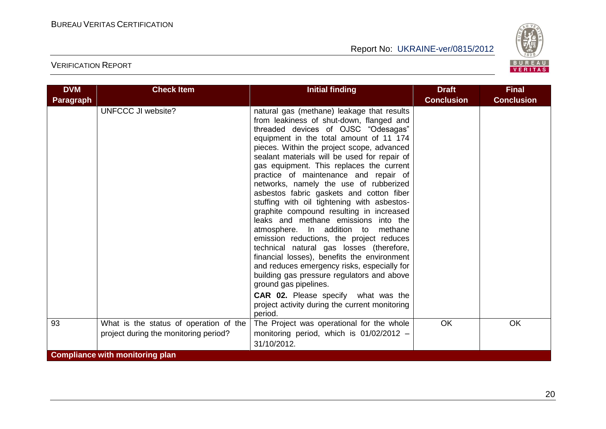

| <b>DVM</b> | <b>Check Item</b>                                                               | <b>Initial finding</b>                                                                                                                                                                                                                                                                                                                                                                                                                                                                                                                                                                                                                                                                                                                                                                                                                                                                                                                                                                      | <b>Draft</b>      | <b>Final</b>      |  |  |
|------------|---------------------------------------------------------------------------------|---------------------------------------------------------------------------------------------------------------------------------------------------------------------------------------------------------------------------------------------------------------------------------------------------------------------------------------------------------------------------------------------------------------------------------------------------------------------------------------------------------------------------------------------------------------------------------------------------------------------------------------------------------------------------------------------------------------------------------------------------------------------------------------------------------------------------------------------------------------------------------------------------------------------------------------------------------------------------------------------|-------------------|-------------------|--|--|
| Paragraph  |                                                                                 |                                                                                                                                                                                                                                                                                                                                                                                                                                                                                                                                                                                                                                                                                                                                                                                                                                                                                                                                                                                             | <b>Conclusion</b> | <b>Conclusion</b> |  |  |
|            | <b>UNFCCC JI website?</b>                                                       | natural gas (methane) leakage that results<br>from leakiness of shut-down, flanged and<br>threaded devices of OJSC "Odesagas"<br>equipment in the total amount of 11 174<br>pieces. Within the project scope, advanced<br>sealant materials will be used for repair of<br>gas equipment. This replaces the current<br>practice of maintenance and repair of<br>networks, namely the use of rubberized<br>asbestos fabric gaskets and cotton fiber<br>stuffing with oil tightening with asbestos-<br>graphite compound resulting in increased<br>leaks and methane emissions into the<br>atmosphere. In addition to methane<br>emission reductions, the project reduces<br>technical natural gas losses (therefore,<br>financial losses), benefits the environment<br>and reduces emergency risks, especially for<br>building gas pressure regulators and above<br>ground gas pipelines.<br>CAR 02. Please specify what was the<br>project activity during the current monitoring<br>period. |                   |                   |  |  |
| 93         | What is the status of operation of the<br>project during the monitoring period? | The Project was operational for the whole<br>monitoring period, which is 01/02/2012 -<br>31/10/2012.                                                                                                                                                                                                                                                                                                                                                                                                                                                                                                                                                                                                                                                                                                                                                                                                                                                                                        | <b>OK</b>         | OK                |  |  |
|            | <b>Compliance with monitoring plan</b>                                          |                                                                                                                                                                                                                                                                                                                                                                                                                                                                                                                                                                                                                                                                                                                                                                                                                                                                                                                                                                                             |                   |                   |  |  |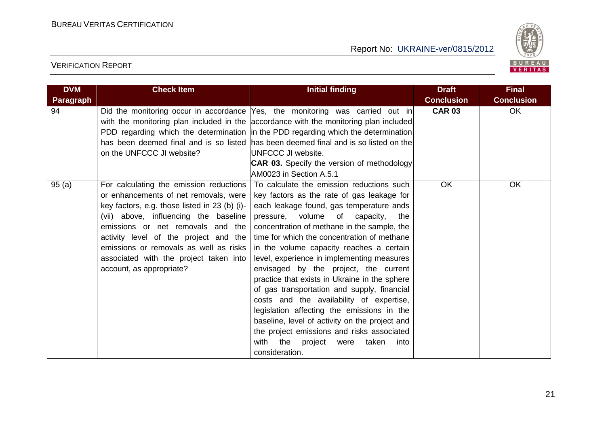

| <b>DVM</b>       | <b>Check Item</b>                                                                                                                                                                                                                                                                                                                                                        | <b>Initial finding</b>                                                                                                                                                                                                                                                                                                                                                                                                                                                                                                                                                                                                                                                                                                                                                            | <b>Draft</b>      | <b>Final</b>      |
|------------------|--------------------------------------------------------------------------------------------------------------------------------------------------------------------------------------------------------------------------------------------------------------------------------------------------------------------------------------------------------------------------|-----------------------------------------------------------------------------------------------------------------------------------------------------------------------------------------------------------------------------------------------------------------------------------------------------------------------------------------------------------------------------------------------------------------------------------------------------------------------------------------------------------------------------------------------------------------------------------------------------------------------------------------------------------------------------------------------------------------------------------------------------------------------------------|-------------------|-------------------|
| <b>Paragraph</b> |                                                                                                                                                                                                                                                                                                                                                                          |                                                                                                                                                                                                                                                                                                                                                                                                                                                                                                                                                                                                                                                                                                                                                                                   | <b>Conclusion</b> | <b>Conclusion</b> |
| 94               | on the UNFCCC JI website?                                                                                                                                                                                                                                                                                                                                                | Did the monitoring occur in accordance Yes, the monitoring was carried out in<br>with the monitoring plan included in the accordance with the monitoring plan included<br>PDD regarding which the determination in the PDD regarding which the determination<br>has been deemed final and is so listed has been deemed final and is so listed on the<br>UNFCCC JI website.<br><b>CAR 03.</b> Specify the version of methodology<br>AM0023 in Section A.5.1                                                                                                                                                                                                                                                                                                                        | <b>CAR 03</b>     | <b>OK</b>         |
| 95(a)            | For calculating the emission reductions<br>or enhancements of net removals, were<br>key factors, e.g. those listed in 23 (b) (i)-<br>(vii) above, influencing the baseline<br>emissions or net removals and the<br>activity level of the project and the<br>emissions or removals as well as risks<br>associated with the project taken into<br>account, as appropriate? | To calculate the emission reductions such<br>key factors as the rate of gas leakage for<br>each leakage found, gas temperature ands<br>pressure, volume<br>of<br>capacity,<br>the<br>concentration of methane in the sample, the<br>time for which the concentration of methane<br>in the volume capacity reaches a certain<br>level, experience in implementing measures<br>envisaged by the project, the current<br>practice that exists in Ukraine in the sphere<br>of gas transportation and supply, financial<br>costs and the availability of expertise,<br>legislation affecting the emissions in the<br>baseline, level of activity on the project and<br>the project emissions and risks associated<br>with<br>the<br>taken<br>into<br>project<br>were<br>consideration. | <b>OK</b>         | <b>OK</b>         |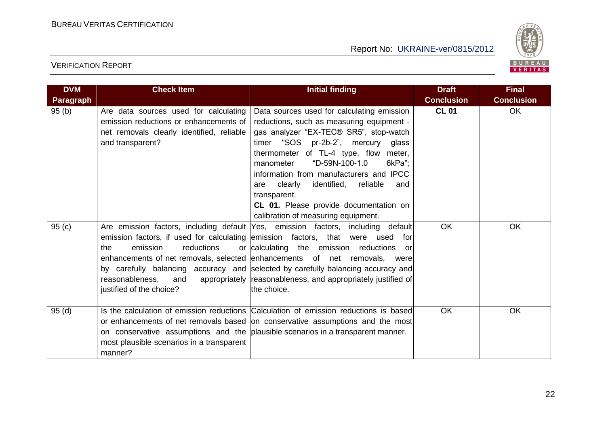

| <b>DVM</b>       | <b>Check Item</b>                                                                                                                                                                                                                             | <b>Initial finding</b>                                                                                                                                                                                                                                                                                                                                                                                                                                    | <b>Draft</b>      | <b>Final</b>      |
|------------------|-----------------------------------------------------------------------------------------------------------------------------------------------------------------------------------------------------------------------------------------------|-----------------------------------------------------------------------------------------------------------------------------------------------------------------------------------------------------------------------------------------------------------------------------------------------------------------------------------------------------------------------------------------------------------------------------------------------------------|-------------------|-------------------|
| <b>Paragraph</b> |                                                                                                                                                                                                                                               |                                                                                                                                                                                                                                                                                                                                                                                                                                                           | <b>Conclusion</b> | <b>Conclusion</b> |
| 95(b)            | Are data sources used for calculating<br>emission reductions or enhancements of<br>net removals clearly identified, reliable<br>and transparent?                                                                                              | Data sources used for calculating emission<br>reductions, such as measuring equipment -<br>gas analyzer "EX-TEC® SR5", stop-watch<br>timer "SOS pr-2b-2", mercury glass<br>thermometer of TL-4 type, flow meter,<br>"D-59N-100-1.0<br>6kPa";<br>manometer<br>information from manufacturers and IPCC<br>identified,<br>reliable<br>clearly<br>are<br>and<br>transparent.<br>CL 01. Please provide documentation on<br>calibration of measuring equipment. | <b>CL 01</b>      | <b>OK</b>         |
| 95(c)            | Are emission factors, including default Yes, emission factors, including<br>emission factors, if used for calculating emission factors, that were used<br>emission<br>reductions<br>the<br>reasonableness.<br>and<br>justified of the choice? | default<br>for<br>or calculating the emission reductions<br>or<br>enhancements of net removals, selected enhancements of net removals, were<br>by carefully balancing accuracy and selected by carefully balancing accuracy and<br>appropriately reasonableness, and appropriately justified of<br>the choice.                                                                                                                                            | OK                | OK                |
| 95(d)            | most plausible scenarios in a transparent<br>manner?                                                                                                                                                                                          | Is the calculation of emission reductions Calculation of emission reductions is based<br>or enhancements of net removals based on conservative assumptions and the most<br>on conservative assumptions and the plausible scenarios in a transparent manner.                                                                                                                                                                                               | <b>OK</b>         | OK                |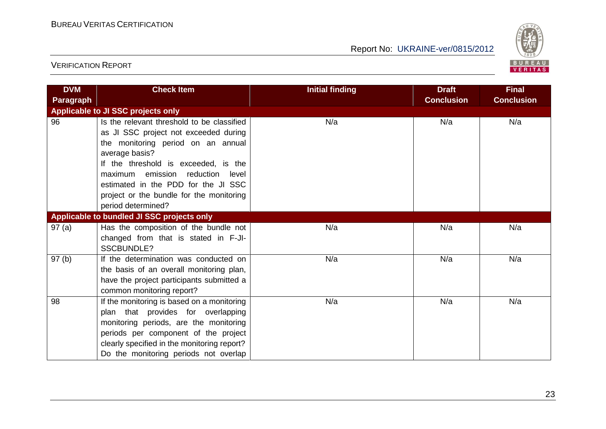

| <b>DVM</b>       | <b>Check Item</b>                           | <b>Initial finding</b> | <b>Draft</b>      | <b>Final</b>      |
|------------------|---------------------------------------------|------------------------|-------------------|-------------------|
| <b>Paragraph</b> |                                             |                        | <b>Conclusion</b> | <b>Conclusion</b> |
|                  | Applicable to JI SSC projects only          |                        |                   |                   |
| 96               | Is the relevant threshold to be classified  | N/a                    | N/a               | N/a               |
|                  | as JI SSC project not exceeded during       |                        |                   |                   |
|                  | the monitoring period on an annual          |                        |                   |                   |
|                  | average basis?                              |                        |                   |                   |
|                  | If the threshold is exceeded, is the        |                        |                   |                   |
|                  | maximum emission reduction<br>level         |                        |                   |                   |
|                  | estimated in the PDD for the JI SSC         |                        |                   |                   |
|                  | project or the bundle for the monitoring    |                        |                   |                   |
|                  | period determined?                          |                        |                   |                   |
|                  | Applicable to bundled JI SSC projects only  |                        |                   |                   |
| 97(a)            | Has the composition of the bundle not       | N/a                    | N/a               | N/a               |
|                  | changed from that is stated in F-JI-        |                        |                   |                   |
|                  | <b>SSCBUNDLE?</b>                           |                        |                   |                   |
| 97(b)            | If the determination was conducted on       | N/a                    | N/a               | N/a               |
|                  | the basis of an overall monitoring plan,    |                        |                   |                   |
|                  | have the project participants submitted a   |                        |                   |                   |
|                  | common monitoring report?                   |                        |                   |                   |
| 98               | If the monitoring is based on a monitoring  | N/a                    | N/a               | N/a               |
|                  | plan that provides for overlapping          |                        |                   |                   |
|                  | monitoring periods, are the monitoring      |                        |                   |                   |
|                  | periods per component of the project        |                        |                   |                   |
|                  | clearly specified in the monitoring report? |                        |                   |                   |
|                  | Do the monitoring periods not overlap       |                        |                   |                   |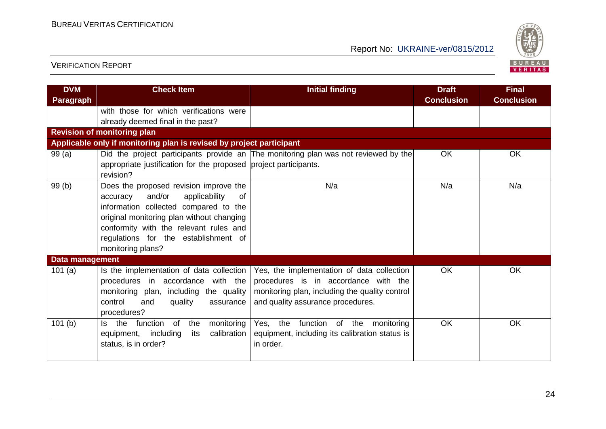

| <b>DVM</b><br><b>Paragraph</b> | <b>Check Item</b>                                                             | <b>Initial finding</b>                                                              | <b>Draft</b><br><b>Conclusion</b> | <b>Final</b><br><b>Conclusion</b> |
|--------------------------------|-------------------------------------------------------------------------------|-------------------------------------------------------------------------------------|-----------------------------------|-----------------------------------|
|                                | with those for which verifications were<br>already deemed final in the past?  |                                                                                     |                                   |                                   |
|                                | <b>Revision of monitoring plan</b>                                            |                                                                                     |                                   |                                   |
|                                | Applicable only if monitoring plan is revised by project participant          |                                                                                     |                                   |                                   |
| 99(a)                          |                                                                               | Did the project participants provide an The monitoring plan was not reviewed by the | OK                                | <b>OK</b>                         |
|                                | appropriate justification for the proposed project participants.<br>revision? |                                                                                     |                                   |                                   |
| 99(b)                          | Does the proposed revision improve the                                        | N/a                                                                                 | N/a                               | N/a                               |
|                                | and/or<br>applicability<br>accuracy<br>0f                                     |                                                                                     |                                   |                                   |
|                                | information collected compared to the                                         |                                                                                     |                                   |                                   |
|                                | original monitoring plan without changing                                     |                                                                                     |                                   |                                   |
|                                | conformity with the relevant rules and                                        |                                                                                     |                                   |                                   |
|                                | regulations for the establishment of                                          |                                                                                     |                                   |                                   |
|                                | monitoring plans?                                                             |                                                                                     |                                   |                                   |
| Data management                |                                                                               |                                                                                     |                                   |                                   |
| 101(a)                         | Is the implementation of data collection                                      | Yes, the implementation of data collection                                          | <b>OK</b>                         | <b>OK</b>                         |
|                                | procedures in accordance with the                                             | procedures is in accordance with the                                                |                                   |                                   |
|                                | monitoring plan, including the quality                                        | monitoring plan, including the quality control                                      |                                   |                                   |
|                                | control<br>and<br>quality<br>assurance                                        | and quality assurance procedures.                                                   |                                   |                                   |
|                                | procedures?                                                                   |                                                                                     |                                   |                                   |
| 101(b)                         | function<br>Is the<br>of<br>monitoring<br>the                                 | Yes, the function of the<br>monitoring                                              | OK                                | <b>OK</b>                         |
|                                | including<br>calibration<br>equipment,<br>its                                 | equipment, including its calibration status is                                      |                                   |                                   |
|                                | status, is in order?                                                          | in order.                                                                           |                                   |                                   |
|                                |                                                                               |                                                                                     |                                   |                                   |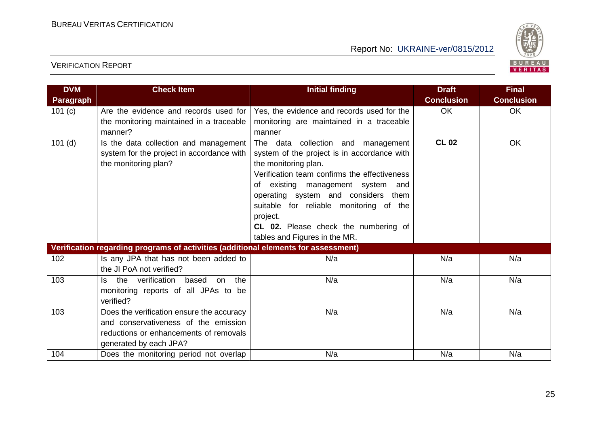

| <b>DVM</b><br><b>Paragraph</b>                                                     | <b>Check Item</b>                                                                                                                                     | <b>Initial finding</b>                                                                                                                                                                                                                                                                                                                                                | <b>Draft</b><br><b>Conclusion</b> | <b>Final</b><br><b>Conclusion</b> |
|------------------------------------------------------------------------------------|-------------------------------------------------------------------------------------------------------------------------------------------------------|-----------------------------------------------------------------------------------------------------------------------------------------------------------------------------------------------------------------------------------------------------------------------------------------------------------------------------------------------------------------------|-----------------------------------|-----------------------------------|
| 101 $(c)$                                                                          | Are the evidence and records used for<br>the monitoring maintained in a traceable<br>manner?                                                          | Yes, the evidence and records used for the<br>monitoring are maintained in a traceable<br>manner                                                                                                                                                                                                                                                                      | <b>OK</b>                         | <b>OK</b>                         |
| $\overline{1}01$ (d)                                                               | Is the data collection and management<br>system for the project in accordance with<br>the monitoring plan?                                            | The data collection and management<br>system of the project is in accordance with<br>the monitoring plan.<br>Verification team confirms the effectiveness<br>of existing management system and<br>operating system and considers them<br>suitable for reliable monitoring of the<br>project.<br>CL 02. Please check the numbering of<br>tables and Figures in the MR. | <b>CL 02</b>                      | <b>OK</b>                         |
| Verification regarding programs of activities (additional elements for assessment) |                                                                                                                                                       |                                                                                                                                                                                                                                                                                                                                                                       |                                   |                                   |
| 102                                                                                | Is any JPA that has not been added to<br>the JI PoA not verified?                                                                                     | N/a                                                                                                                                                                                                                                                                                                                                                                   | N/a                               | N/a                               |
| 103                                                                                | on the<br>the verification<br>based<br>Is.<br>monitoring reports of all JPAs to be<br>verified?                                                       | N/a                                                                                                                                                                                                                                                                                                                                                                   | N/a                               | N/a                               |
| 103                                                                                | Does the verification ensure the accuracy<br>and conservativeness of the emission<br>reductions or enhancements of removals<br>generated by each JPA? | N/a                                                                                                                                                                                                                                                                                                                                                                   | N/a                               | N/a                               |
| 104                                                                                | Does the monitoring period not overlap                                                                                                                | N/a                                                                                                                                                                                                                                                                                                                                                                   | N/a                               | N/a                               |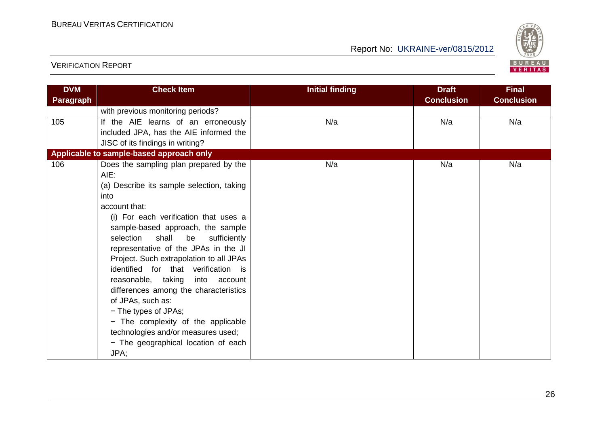

| <b>DVM</b><br>Paragraph | <b>Check Item</b>                                                                                                                                                                                                                                                                                                                                                                                                                                                                                                                                                                                                            | <b>Initial finding</b> | <b>Draft</b><br><b>Conclusion</b> | <b>Final</b><br><b>Conclusion</b> |
|-------------------------|------------------------------------------------------------------------------------------------------------------------------------------------------------------------------------------------------------------------------------------------------------------------------------------------------------------------------------------------------------------------------------------------------------------------------------------------------------------------------------------------------------------------------------------------------------------------------------------------------------------------------|------------------------|-----------------------------------|-----------------------------------|
|                         | with previous monitoring periods?                                                                                                                                                                                                                                                                                                                                                                                                                                                                                                                                                                                            |                        |                                   |                                   |
| 105                     | If the AIE learns of an erroneously<br>included JPA, has the AIE informed the<br>JISC of its findings in writing?                                                                                                                                                                                                                                                                                                                                                                                                                                                                                                            | N/a                    | N/a                               | N/a                               |
|                         | Applicable to sample-based approach only                                                                                                                                                                                                                                                                                                                                                                                                                                                                                                                                                                                     |                        |                                   |                                   |
| 106                     | Does the sampling plan prepared by the<br>AIE:<br>(a) Describe its sample selection, taking<br>into<br>account that:<br>(i) For each verification that uses a<br>sample-based approach, the sample<br>selection<br>shall<br>be sufficiently<br>representative of the JPAs in the JI<br>Project. Such extrapolation to all JPAs<br>identified for that verification is<br>reasonable, taking<br>into account<br>differences among the characteristics<br>of JPAs, such as:<br>- The types of JPAs;<br>- The complexity of the applicable<br>technologies and/or measures used;<br>- The geographical location of each<br>JPA; | N/a                    | N/a                               | N/a                               |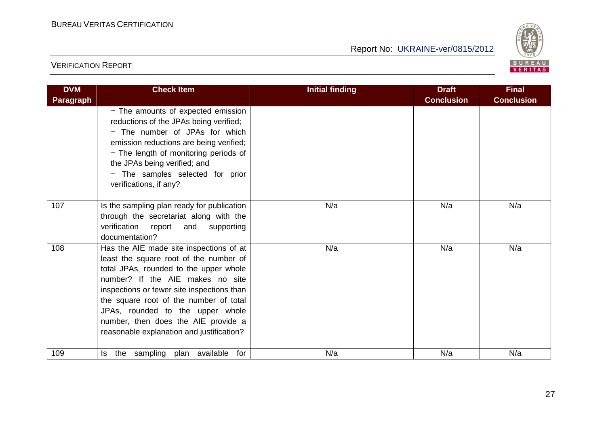

| <b>DVM</b>       | <b>Check Item</b>                                                                                                                                                                                                                                                                                                                                                               | <b>Initial finding</b> | <b>Draft</b>      | <b>Final</b>      |
|------------------|---------------------------------------------------------------------------------------------------------------------------------------------------------------------------------------------------------------------------------------------------------------------------------------------------------------------------------------------------------------------------------|------------------------|-------------------|-------------------|
| <b>Paragraph</b> |                                                                                                                                                                                                                                                                                                                                                                                 |                        | <b>Conclusion</b> | <b>Conclusion</b> |
|                  | - The amounts of expected emission<br>reductions of the JPAs being verified;<br>- The number of JPAs for which<br>emission reductions are being verified;<br>- The length of monitoring periods of<br>the JPAs being verified; and<br>- The samples selected for prior<br>verifications, if any?                                                                                |                        |                   |                   |
| 107              | Is the sampling plan ready for publication<br>through the secretariat along with the<br>verification report<br>and supporting<br>documentation?                                                                                                                                                                                                                                 | N/a                    | N/a               | N/a               |
| 108              | Has the AIE made site inspections of at<br>least the square root of the number of<br>total JPAs, rounded to the upper whole<br>number? If the AIE makes no site<br>inspections or fewer site inspections than<br>the square root of the number of total<br>JPAs, rounded to the upper whole<br>number, then does the AIE provide a<br>reasonable explanation and justification? | N/a                    | N/a               | N/a               |
| 109              | Is the sampling plan available for                                                                                                                                                                                                                                                                                                                                              | N/a                    | N/a               | N/a               |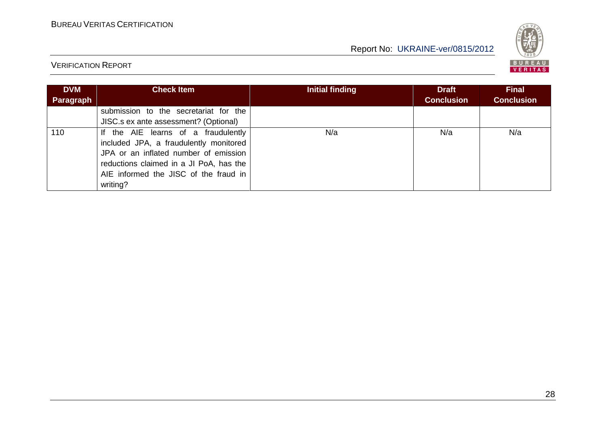

| <b>DVM</b> | <b>Check Item</b>                       | Initial finding | <b>Draft</b>      | <b>Final</b>      |
|------------|-----------------------------------------|-----------------|-------------------|-------------------|
| Paragraph  |                                         |                 | <b>Conclusion</b> | <b>Conclusion</b> |
|            | submission to the secretariat for the   |                 |                   |                   |
|            | JISC.s ex ante assessment? (Optional)   |                 |                   |                   |
| 110        | If the AIE learns of a fraudulently     | N/a             | N/a               | N/a               |
|            | included JPA, a fraudulently monitored  |                 |                   |                   |
|            | JPA or an inflated number of emission   |                 |                   |                   |
|            | reductions claimed in a JI PoA, has the |                 |                   |                   |
|            | AIE informed the JISC of the fraud in   |                 |                   |                   |
|            | writing?                                |                 |                   |                   |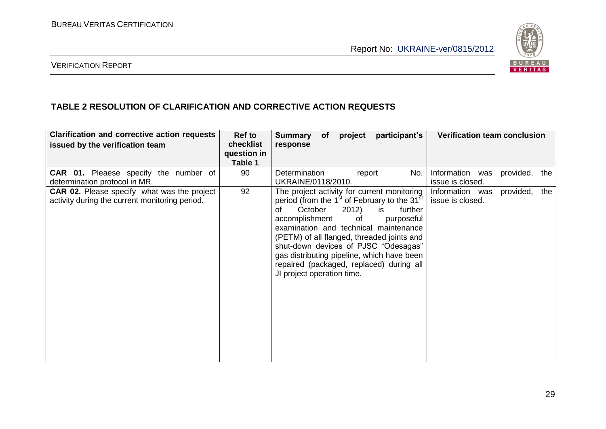

#### VERIFICATION REPORT

#### **TABLE 2 RESOLUTION OF CLARIFICATION AND CORRECTIVE ACTION REQUESTS**

| <b>Clarification and corrective action requests</b>                                                  | Ref to                              | participant's<br><b>Verification team conclusion</b><br>project<br><b>Summary</b><br>of                                                                                                                                                                                                                                                                                                                                                                                                                                 |
|------------------------------------------------------------------------------------------------------|-------------------------------------|-------------------------------------------------------------------------------------------------------------------------------------------------------------------------------------------------------------------------------------------------------------------------------------------------------------------------------------------------------------------------------------------------------------------------------------------------------------------------------------------------------------------------|
| issued by the verification team                                                                      | checklist<br>question in<br>Table 1 | response                                                                                                                                                                                                                                                                                                                                                                                                                                                                                                                |
| <b>CAR 01.</b> Pleaese specify the number of<br>determination protocol in MR.                        | 90                                  | Determination<br>Information was<br>No.<br>report<br>provided,<br>the<br>UKRAINE/0118/2010.<br>issue is closed.                                                                                                                                                                                                                                                                                                                                                                                                         |
| <b>CAR 02.</b> Please specify what was the project<br>activity during the current monitoring period. | 92                                  | The project activity for current monitoring<br>provided,<br>the<br>Information was<br>period (from the 1 <sup>st</sup> of February to the 31 <sup>st</sup><br>issue is closed.<br>October<br>2012)<br>further<br>οf<br>is.<br>accomplishment<br>of<br>purposeful<br>examination and technical maintenance<br>(PETM) of all flanged, threaded joints and<br>shut-down devices of PJSC "Odesagas"<br>gas distributing pipeline, which have been<br>repaired (packaged, replaced) during all<br>JI project operation time. |